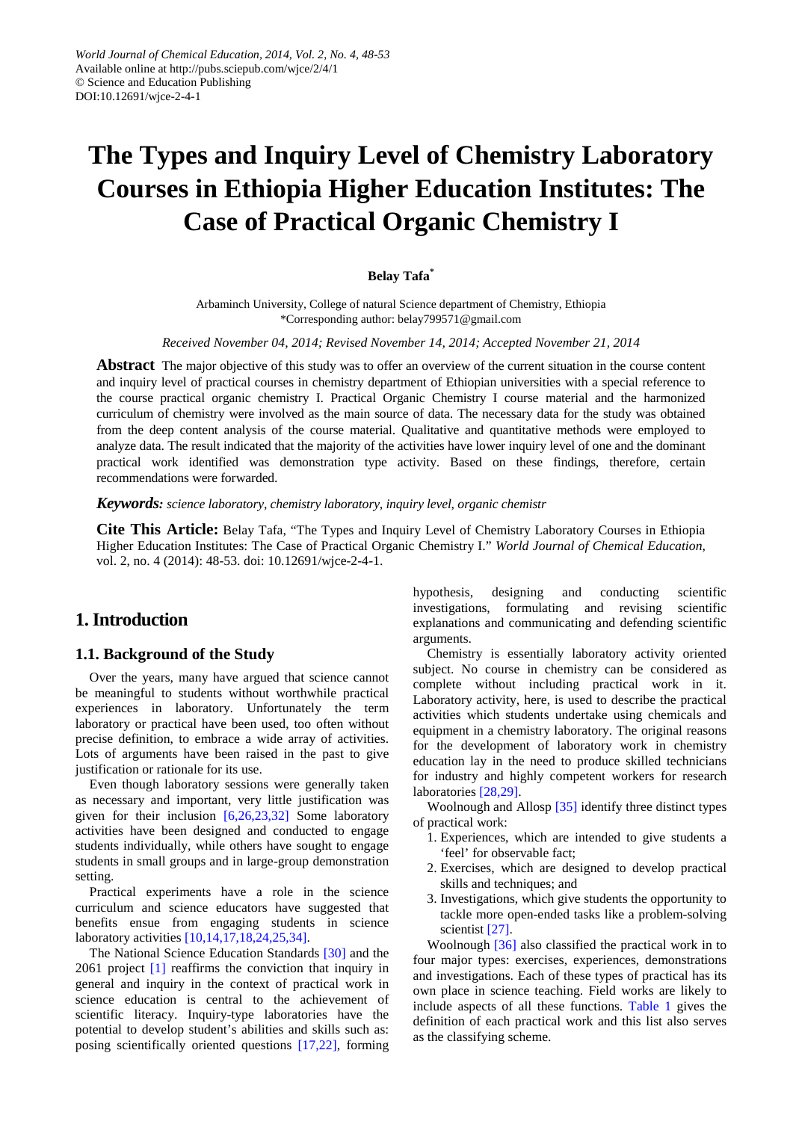# **The Types and Inquiry Level of Chemistry Laboratory Courses in Ethiopia Higher Education Institutes: The Case of Practical Organic Chemistry I**

#### **Belay Tafa\***

Arbaminch University, College of natural Science department of Chemistry, Ethiopia \*Corresponding author: belay799571@gmail.com

#### *Received November 04, 2014; Revised November 14, 2014; Accepted November 21, 2014*

**Abstract** The major objective of this study was to offer an overview of the current situation in the course content and inquiry level of practical courses in chemistry department of Ethiopian universities with a special reference to the course practical organic chemistry I. Practical Organic Chemistry I course material and the harmonized curriculum of chemistry were involved as the main source of data. The necessary data for the study was obtained from the deep content analysis of the course material. Qualitative and quantitative methods were employed to analyze data. The result indicated that the majority of the activities have lower inquiry level of one and the dominant practical work identified was demonstration type activity. Based on these findings, therefore, certain recommendations were forwarded.

#### *Keywords: science laboratory, chemistry laboratory, inquiry level, organic chemistr*

**Cite This Article:** Belay Tafa, "The Types and Inquiry Level of Chemistry Laboratory Courses in Ethiopia Higher Education Institutes: The Case of Practical Organic Chemistry I." *World Journal of Chemical Education*, vol. 2, no. 4 (2014): 48-53. doi: 10.12691/wjce-2-4-1.

## **1. Introduction**

## **1.1. Background of the Study**

Over the years, many have argued that science cannot be meaningful to students without worthwhile practical experiences in laboratory. Unfortunately the term laboratory or practical have been used, too often without precise definition, to embrace a wide array of activities. Lots of arguments have been raised in the past to give justification or rationale for its use.

Even though laboratory sessions were generally taken as necessary and important, very little justification was given for their inclusion  $[6,26,23,32]$  Some laboratory activities have been designed and conducted to engage students individually, while others have sought to engage students in small groups and in large-group demonstration setting.

Practical experiments have a role in the science curriculum and science educators have suggested that benefits ensue from engaging students in science laboratory activities [\[10,14,17,18,24,25,34\].](#page-5-0)

The National Science Education Standards [\[30\]](#page-5-1) and the 2061 project [\[1\]](#page-4-1) reaffirms the conviction that inquiry in general and inquiry in the context of practical work in science education is central to the achievement of scientific literacy. Inquiry-type laboratories have the potential to develop student's abilities and skills such as: posing scientifically oriented questions [\[17,22\],](#page-5-2) forming

hypothesis, designing and conducting scientific investigations, formulating and revising scientific explanations and communicating and defending scientific arguments.

Chemistry is essentially laboratory activity oriented subject. No course in chemistry can be considered as complete without including practical work in it. Laboratory activity, here, is used to describe the practical activities which students undertake using chemicals and equipment in a chemistry laboratory. The original reasons for the development of laboratory work in chemistry education lay in the need to produce skilled technicians for industry and highly competent workers for research laboratories [\[28,29\].](#page-5-3)

Woolnough and Allosp [\[35\]](#page-5-4) identify three distinct types of practical work:

- 1. Experiences, which are intended to give students a 'feel' for observable fact;
- 2. Exercises, which are designed to develop practical skills and techniques; and
- 3. Investigations, which give students the opportunity to tackle more open-ended tasks like a problem-solving scientist [\[27\].](#page-5-5)

Woolnough [\[36\]](#page-5-6) also classified the practical work in to four major types: exercises, experiences, demonstrations and investigations. Each of these types of practical has its own place in science teaching. Field works are likely to include aspects of all these functions. [Table 1](#page-1-0) gives the definition of each practical work and this list also serves as the classifying scheme.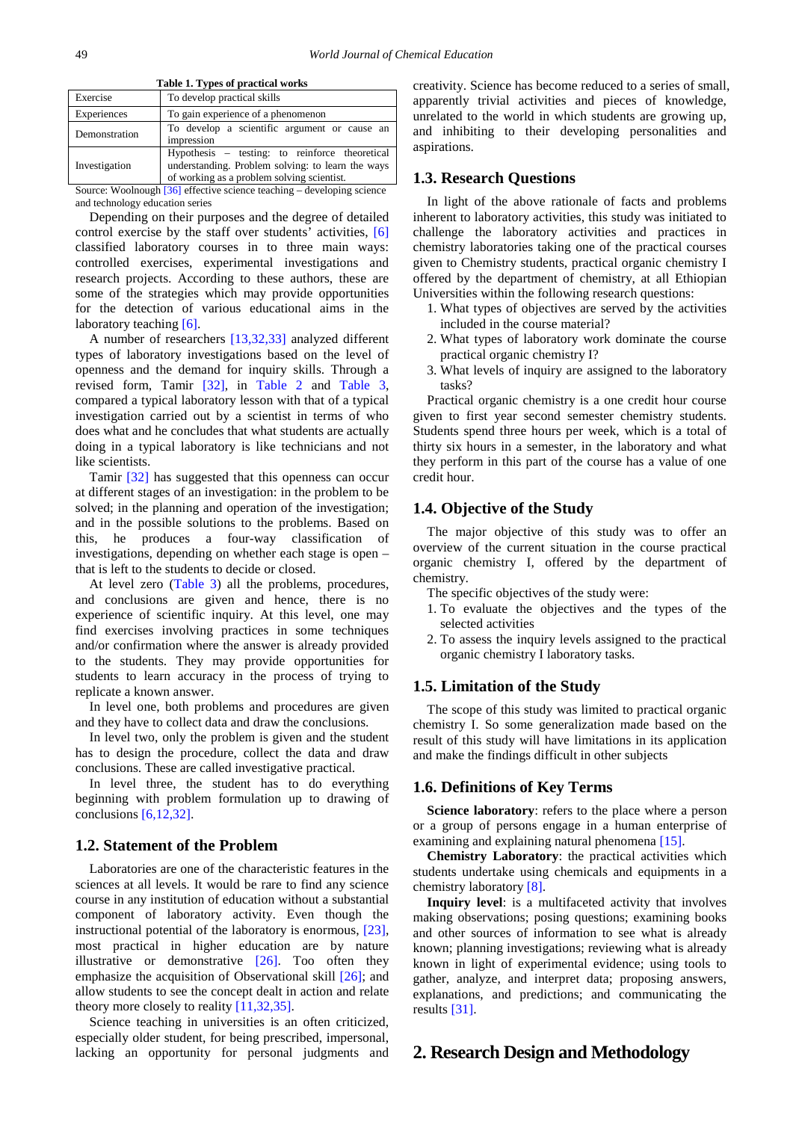<span id="page-1-0"></span>

| Table 1. Types of practical works |                                                                                                                                                   |  |  |
|-----------------------------------|---------------------------------------------------------------------------------------------------------------------------------------------------|--|--|
| Exercise                          | To develop practical skills                                                                                                                       |  |  |
| Experiences                       | To gain experience of a phenomenon                                                                                                                |  |  |
| Demonstration                     | To develop a scientific argument or cause an<br>impression                                                                                        |  |  |
| Investigation                     | Hypothesis – testing: to reinforce theoretical<br>understanding. Problem solving: to learn the ways<br>of working as a problem solving scientist. |  |  |

**Table 1. Types of practical works**

Source: Woolnough [\[36\]](#page-5-6) effective science teaching – developing science and technology education series

Depending on their purposes and the degree of detailed control exercise by the staff over students' activities, [\[6\]](#page-4-0) classified laboratory courses in to three main ways: controlled exercises, experimental investigations and research projects. According to these authors, these are some of the strategies which may provide opportunities for the detection of various educational aims in the laboratory teachin[g \[6\].](#page-4-0)

A number of researchers [\[13,32,33\]](#page-5-7) analyzed different types of laboratory investigations based on the level of openness and the demand for inquiry skills. Through a revised form, Tamir [\[32\],](#page-5-8) in [Table](#page-3-0) 2 and [Table 3,](#page-3-1) compared a typical laboratory lesson with that of a typical investigation carried out by a scientist in terms of who does what and he concludes that what students are actually doing in a typical laboratory is like technicians and not like scientists.

Tamir [\[32\]](#page-5-8) has suggested that this openness can occur at different stages of an investigation: in the problem to be solved; in the planning and operation of the investigation; and in the possible solutions to the problems. Based on this, he produces a four-way classification of investigations, depending on whether each stage is open – that is left to the students to decide or closed.

At level zero [\(Table 3\)](#page-3-1) all the problems, procedures, and conclusions are given and hence, there is no experience of scientific inquiry. At this level, one may find exercises involving practices in some techniques and/or confirmation where the answer is already provided to the students. They may provide opportunities for students to learn accuracy in the process of trying to replicate a known answer.

In level one, both problems and procedures are given and they have to collect data and draw the conclusions.

In level two, only the problem is given and the student has to design the procedure, collect the data and draw conclusions. These are called investigative practical.

In level three, the student has to do everything beginning with problem formulation up to drawing of conclusions [\[6,12,32\].](#page-4-0)

#### **1.2. Statement of the Problem**

Laboratories are one of the characteristic features in the sciences at all levels. It would be rare to find any science course in any institution of education without a substantial component of laboratory activity. Even though the instructional potential of the laboratory is enormous, [\[23\],](#page-5-9) most practical in higher education are by nature illustrative or demonstrative [\[26\].](#page-5-10) Too often they emphasize the acquisition of Observational skill [\[26\];](#page-5-10) and allow students to see the concept dealt in action and relate theory more closely to reality [\[11,32,35\].](#page-5-11)

Science teaching in universities is an often criticized, especially older student, for being prescribed, impersonal, lacking an opportunity for personal judgments and creativity. Science has become reduced to a series of small, apparently trivial activities and pieces of knowledge, unrelated to the world in which students are growing up, and inhibiting to their developing personalities and aspirations.

## **1.3. Research Questions**

In light of the above rationale of facts and problems inherent to laboratory activities, this study was initiated to challenge the laboratory activities and practices in chemistry laboratories taking one of the practical courses given to Chemistry students, practical organic chemistry I offered by the department of chemistry, at all Ethiopian Universities within the following research questions:

- 1. What types of objectives are served by the activities included in the course material?
- 2. What types of laboratory work dominate the course practical organic chemistry I?
- 3. What levels of inquiry are assigned to the laboratory tasks?

Practical organic chemistry is a one credit hour course given to first year second semester chemistry students. Students spend three hours per week, which is a total of thirty six hours in a semester, in the laboratory and what they perform in this part of the course has a value of one credit hour.

#### **1.4. Objective of the Study**

The major objective of this study was to offer an overview of the current situation in the course practical organic chemistry I, offered by the department of chemistry.

The specific objectives of the study were:

- 1. To evaluate the objectives and the types of the selected activities
- 2. To assess the inquiry levels assigned to the practical organic chemistry I laboratory tasks.

#### **1.5. Limitation of the Study**

The scope of this study was limited to practical organic chemistry I. So some generalization made based on the result of this study will have limitations in its application and make the findings difficult in other subjects

#### **1.6. Definitions of Key Terms**

**Science laboratory**: refers to the place where a person or a group of persons engage in a human enterprise of examining and explaining natural phenomena [\[15\].](#page-5-12)

**Chemistry Laboratory**: the practical activities which students undertake using chemicals and equipments in a chemistry laborator[y \[8\].](#page-5-13)

**Inquiry level**: is a multifaceted activity that involves making observations; posing questions; examining books and other sources of information to see what is already known; planning investigations; reviewing what is already known in light of experimental evidence; using tools to gather, analyze, and interpret data; proposing answers, explanations, and predictions; and communicating the results [\[31\].](#page-5-14)

## **2. Research Design and Methodology**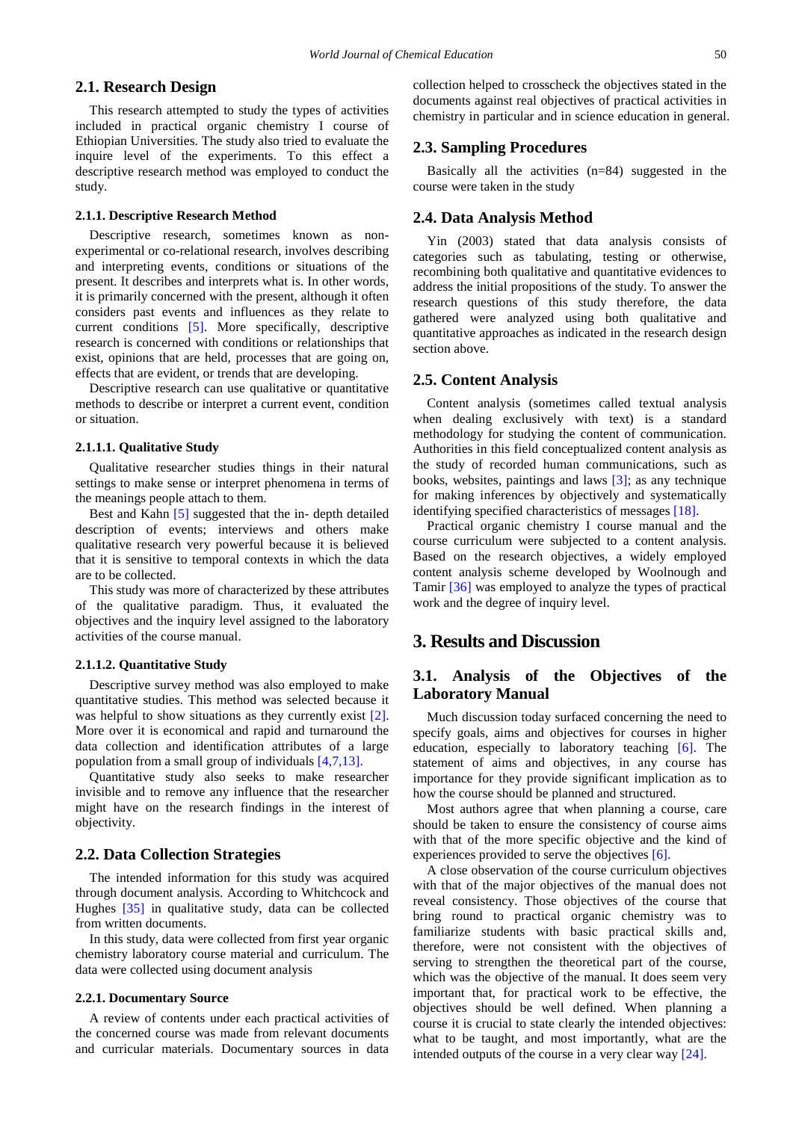#### **2.1. Research Design**

This research attempted to study the types of activities included in practical organic chemistry I course of Ethiopian Universities. The study also tried to evaluate the inquire level of the experiments. To this effect a descriptive research method was employed to conduct the study.

#### **2.1.1. Descriptive Research Method**

Descriptive research, sometimes known as nonexperimental or co-relational research, involves describing and interpreting events, conditions or situations of the present. It describes and interprets what is. In other words, it is primarily concerned with the present, although it often considers past events and influences as they relate to current conditions [\[5\].](#page-4-2) More specifically, descriptive research is concerned with conditions or relationships that exist, opinions that are held, processes that are going on, effects that are evident, or trends that are developing.

Descriptive research can use qualitative or quantitative methods to describe or interpret a current event, condition or situation.

#### **2.1.1.1. Qualitative Study**

Qualitative researcher studies things in their natural settings to make sense or interpret phenomena in terms of the meanings people attach to them.

Best and Kahn [\[5\]](#page-4-2) suggested that the in- depth detailed description of events; interviews and others make qualitative research very powerful because it is believed that it is sensitive to temporal contexts in which the data are to be collected.

This study was more of characterized by these attributes of the qualitative paradigm. Thus, it evaluated the objectives and the inquiry level assigned to the laboratory activities of the course manual.

#### **2.1.1.2. Quantitative Study**

Descriptive survey method was also employed to make quantitative studies. This method was selected because it was helpful to show situations as they currently exist [\[2\].](#page-4-3) More over it is economical and rapid and turnaround the data collection and identification attributes of a large population from a small group of individuals [\[4,7,13\].](#page-4-4)

Quantitative study also seeks to make researcher invisible and to remove any influence that the researcher might have on the research findings in the interest of objectivity.

#### **2.2. Data Collection Strategies**

The intended information for this study was acquired through document analysis. According to Whitchcock and Hughes [\[35\]](#page-5-4) in qualitative study, data can be collected from written documents.

In this study, data were collected from first year organic chemistry laboratory course material and curriculum. The data were collected using document analysis

#### **2.2.1. Documentary Source**

A review of contents under each practical activities of the concerned course was made from relevant documents and curricular materials. Documentary sources in data

collection helped to crosscheck the objectives stated in the documents against real objectives of practical activities in chemistry in particular and in science education in general.

### **2.3. Sampling Procedures**

Basically all the activities (n=84) suggested in the course were taken in the study

#### **2.4. Data Analysis Method**

Yin (2003) stated that data analysis consists of categories such as tabulating, testing or otherwise, recombining both qualitative and quantitative evidences to address the initial propositions of the study. To answer the research questions of this study therefore, the data gathered were analyzed using both qualitative and quantitative approaches as indicated in the research design section above.

#### **2.5. Content Analysis**

Content analysis (sometimes called textual analysis when dealing exclusively with text) is a standard methodology for studying the content of communication. Authorities in this field conceptualized content analysis as the study of recorded human communications, such as books, websites, paintings and laws [\[3\];](#page-4-5) as any technique for making inferences by objectively and systematically identifying specified characteristics of messages [\[18\].](#page-5-15)

Practical organic chemistry I course manual and the course curriculum were subjected to a content analysis. Based on the research objectives, a widely employed content analysis scheme developed by Woolnough and Tamir [\[36\]](#page-5-6) was employed to analyze the types of practical work and the degree of inquiry level.

## **3. Results and Discussion**

## **3.1. Analysis of the Objectives of the Laboratory Manual**

Much discussion today surfaced concerning the need to specify goals, aims and objectives for courses in higher education, especially to laboratory teaching [\[6\].](#page-4-0) The statement of aims and objectives, in any course has importance for they provide significant implication as to how the course should be planned and structured.

Most authors agree that when planning a course, care should be taken to ensure the consistency of course aims with that of the more specific objective and the kind of experiences provided to serve the objective[s \[6\].](#page-4-0)

A close observation of the course curriculum objectives with that of the major objectives of the manual does not reveal consistency. Those objectives of the course that bring round to practical organic chemistry was to familiarize students with basic practical skills and, therefore, were not consistent with the objectives of serving to strengthen the theoretical part of the course, which was the objective of the manual. It does seem very important that, for practical work to be effective, the objectives should be well defined. When planning a course it is crucial to state clearly the intended objectives: what to be taught, and most importantly, what are the intended outputs of the course in a very clear way [\[24\].](#page-5-16)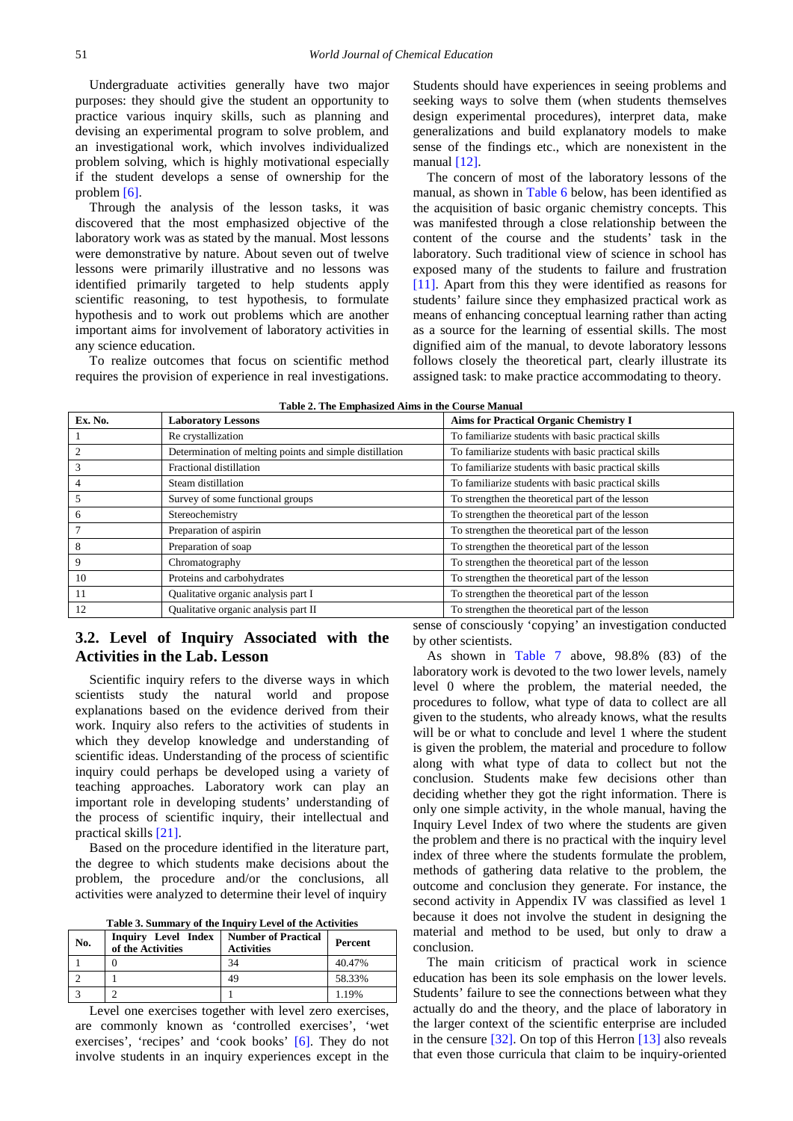Undergraduate activities generally have two major purposes: they should give the student an opportunity to practice various inquiry skills, such as planning and devising an experimental program to solve problem, and an investigational work, which involves individualized problem solving, which is highly motivational especially if the student develops a sense of ownership for the proble[m \[6\].](#page-4-0)

Through the analysis of the lesson tasks, it was discovered that the most emphasized objective of the laboratory work was as stated by the manual. Most lessons were demonstrative by nature. About seven out of twelve lessons were primarily illustrative and no lessons was identified primarily targeted to help students apply scientific reasoning, to test hypothesis, to formulate hypothesis and to work out problems which are another important aims for involvement of laboratory activities in any science education.

To realize outcomes that focus on scientific method requires the provision of experience in real investigations. Students should have experiences in seeing problems and seeking ways to solve them (when students themselves design experimental procedures), interpret data, make generalizations and build explanatory models to make sense of the findings etc., which are nonexistent in the manual  $[12]$ .

The concern of most of the laboratory lessons of the manual, as shown in Table 6 below, has been identified as the acquisition of basic organic chemistry concepts. This was manifested through a close relationship between the content of the course and the students' task in the laboratory. Such traditional view of science in school has exposed many of the students to failure and frustration [\[11\].](#page-5-11) Apart from this they were identified as reasons for students' failure since they emphasized practical work as means of enhancing conceptual learning rather than acting as a source for the learning of essential skills. The most dignified aim of the manual, to devote laboratory lessons follows closely the theoretical part, clearly illustrate its assigned task: to make practice accommodating to theory.

| Table 2. The Emphasized Aims in the Course Manual |  |  |
|---------------------------------------------------|--|--|
|                                                   |  |  |

<span id="page-3-0"></span>

| Ex. No. | <b>Laboratory Lessons</b>                               | <b>Aims for Practical Organic Chemistry I</b>       |
|---------|---------------------------------------------------------|-----------------------------------------------------|
|         | Re crystallization                                      | To familiarize students with basic practical skills |
|         | Determination of melting points and simple distillation | To familiarize students with basic practical skills |
| 3       | Fractional distillation                                 | To familiarize students with basic practical skills |
|         | Steam distillation                                      | To familiarize students with basic practical skills |
|         | Survey of some functional groups                        | To strengthen the theoretical part of the lesson    |
| 6       | Stereochemistry                                         | To strengthen the theoretical part of the lesson    |
|         | Preparation of aspirin                                  | To strengthen the theoretical part of the lesson    |
| 8       | Preparation of soap                                     | To strengthen the theoretical part of the lesson    |
| 9       | Chromatography                                          | To strengthen the theoretical part of the lesson    |
| 10      | Proteins and carbohydrates                              | To strengthen the theoretical part of the lesson    |
| -11     | Qualitative organic analysis part I                     | To strengthen the theoretical part of the lesson    |
| 12      | Qualitative organic analysis part II                    | To strengthen the theoretical part of the lesson    |

# **3.2. Level of Inquiry Associated with the Activities in the Lab. Lesson**

Scientific inquiry refers to the diverse ways in which scientists study the natural world and propose explanations based on the evidence derived from their work. Inquiry also refers to the activities of students in which they develop knowledge and understanding of scientific ideas. Understanding of the process of scientific inquiry could perhaps be developed using a variety of teaching approaches. Laboratory work can play an important role in developing students' understanding of the process of scientific inquiry, their intellectual and practical skills [\[21\].](#page-5-18)

Based on the procedure identified in the literature part, the degree to which students make decisions about the problem, the procedure and/or the conclusions, all activities were analyzed to determine their level of inquiry

| Table 3. Summary of the Inquiry Level of the Activities |  |
|---------------------------------------------------------|--|
|---------------------------------------------------------|--|

<span id="page-3-1"></span>

| No. | Inquiry Level Index<br>of the Activities | <b>Number of Practical</b><br><b>Activities</b> | Percent |
|-----|------------------------------------------|-------------------------------------------------|---------|
|     |                                          | 34                                              | 40.47%  |
|     |                                          | 49                                              | 58.33%  |
|     |                                          |                                                 | 1.19%   |

Level one exercises together with level zero exercises, are commonly known as 'controlled exercises', 'wet exercises', 'recipes' and 'cook books' [\[6\].](#page-4-0) They do not involve students in an inquiry experiences except in the sense of consciously 'copying' an investigation conducted by other scientists.

As shown in Table 7 above, 98.8% (83) of the laboratory work is devoted to the two lower levels, namely level 0 where the problem, the material needed, the procedures to follow, what type of data to collect are all given to the students, who already knows, what the results will be or what to conclude and level 1 where the student is given the problem, the material and procedure to follow along with what type of data to collect but not the conclusion. Students make few decisions other than deciding whether they got the right information. There is only one simple activity, in the whole manual, having the Inquiry Level Index of two where the students are given the problem and there is no practical with the inquiry level index of three where the students formulate the problem, methods of gathering data relative to the problem, the outcome and conclusion they generate. For instance, the second activity in Appendix IV was classified as level 1 because it does not involve the student in designing the material and method to be used, but only to draw a conclusion.

The main criticism of practical work in science education has been its sole emphasis on the lower levels. Students' failure to see the connections between what they actually do and the theory, and the place of laboratory in the larger context of the scientific enterprise are included in the censure [\[32\].](#page-5-8) On top of this Herron [\[13\]](#page-5-7) also reveals that even those curricula that claim to be inquiry-oriented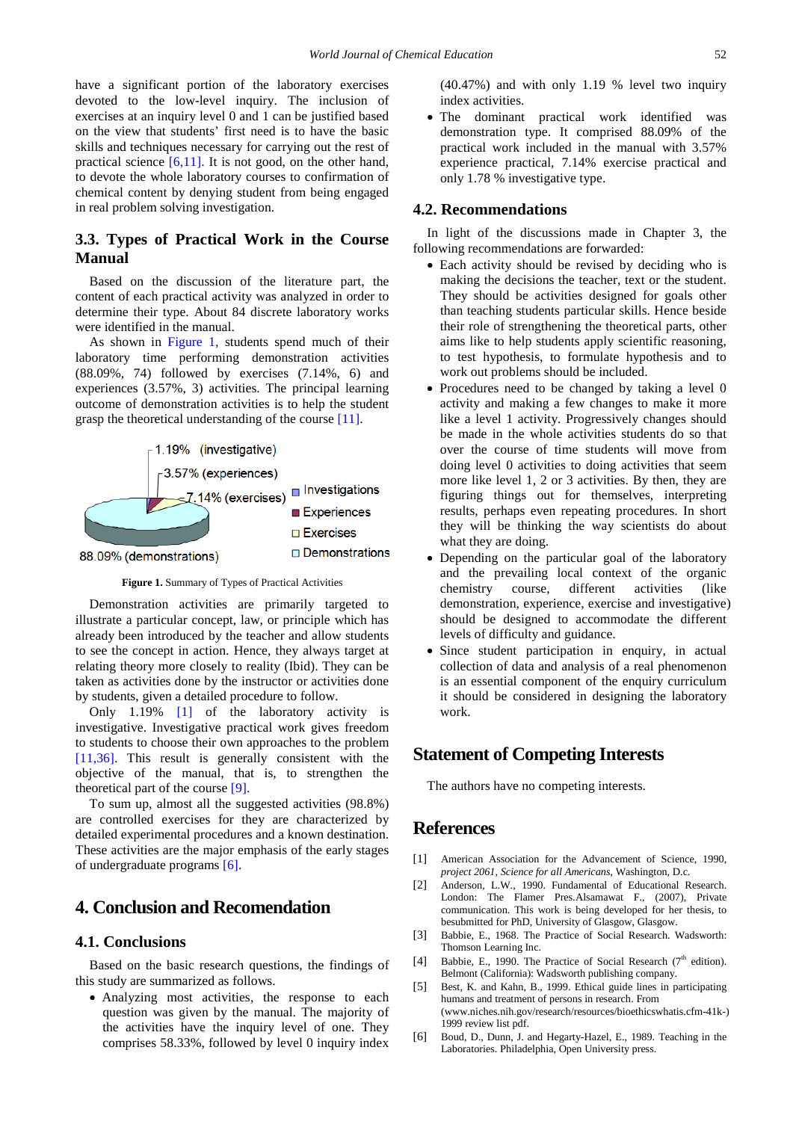have a significant portion of the laboratory exercises devoted to the low-level inquiry. The inclusion of exercises at an inquiry level 0 and 1 can be justified based on the view that students' first need is to have the basic skills and techniques necessary for carrying out the rest of practical science  $[6,11]$ . It is not good, on the other hand, to devote the whole laboratory courses to confirmation of chemical content by denying student from being engaged in real problem solving investigation.

## **3.3. Types of Practical Work in the Course Manual**

Based on the discussion of the literature part, the content of each practical activity was analyzed in order to determine their type. About 84 discrete laboratory works were identified in the manual.

As shown in [Figure 1,](#page-4-6) students spend much of their laboratory time performing demonstration activities (88.09%, 74) followed by exercises (7.14%, 6) and experiences (3.57%, 3) activities. The principal learning outcome of demonstration activities is to help the student grasp the theoretical understanding of the course [\[11\].](#page-5-11)

<span id="page-4-6"></span>

**Figure 1.** Summary of Types of Practical Activities

Demonstration activities are primarily targeted to illustrate a particular concept, law, or principle which has already been introduced by the teacher and allow students to see the concept in action. Hence, they always target at relating theory more closely to reality (Ibid). They can be taken as activities done by the instructor or activities done by students, given a detailed procedure to follow.

Only 1.19% [\[1\]](#page-4-1) of the laboratory activity is investigative. Investigative practical work gives freedom to students to choose their own approaches to the problem [\[11,36\].](#page-5-11) This result is generally consistent with the objective of the manual, that is, to strengthen the theoretical part of the course [\[9\].](#page-5-19)

To sum up, almost all the suggested activities (98.8%) are controlled exercises for they are characterized by detailed experimental procedures and a known destination. These activities are the major emphasis of the early stages of undergraduate programs [\[6\].](#page-4-0)

# **4. Conclusion and Recomendation**

## **4.1. Conclusions**

Based on the basic research questions, the findings of this study are summarized as follows.

• Analyzing most activities, the response to each question was given by the manual. The majority of the activities have the inquiry level of one. They comprises 58.33%, followed by level 0 inquiry index (40.47%) and with only 1.19 % level two inquiry index activities.

• The dominant practical work identified was demonstration type. It comprised 88.09% of the practical work included in the manual with 3.57% experience practical, 7.14% exercise practical and only 1.78 % investigative type.

#### **4.2. Recommendations**

In light of the discussions made in Chapter 3, the following recommendations are forwarded:

- Each activity should be revised by deciding who is making the decisions the teacher, text or the student. They should be activities designed for goals other than teaching students particular skills. Hence beside their role of strengthening the theoretical parts, other aims like to help students apply scientific reasoning, to test hypothesis, to formulate hypothesis and to work out problems should be included.
- Procedures need to be changed by taking a level 0 activity and making a few changes to make it more like a level 1 activity. Progressively changes should be made in the whole activities students do so that over the course of time students will move from doing level 0 activities to doing activities that seem more like level 1, 2 or 3 activities. By then, they are figuring things out for themselves, interpreting results, perhaps even repeating procedures. In short they will be thinking the way scientists do about what they are doing.
- Depending on the particular goal of the laboratory and the prevailing local context of the organic chemistry course, different activities (like demonstration, experience, exercise and investigative) should be designed to accommodate the different levels of difficulty and guidance.
- Since student participation in enquiry, in actual collection of data and analysis of a real phenomenon is an essential component of the enquiry curriculum it should be considered in designing the laboratory work.

# **Statement of Competing Interests**

The authors have no competing interests.

# **References**

- <span id="page-4-1"></span>[1] American Association for the Advancement of Science, 1990, *project 2061, Science for all Americans*, Washington, D.c.
- <span id="page-4-3"></span>[2] Anderson, L.W., 1990. Fundamental of Educational Research. London: The Flamer Pres.Alsamawat F., (2007), Private communication. This work is being developed for her thesis, to besubmitted for PhD, University of Glasgow, Glasgow.
- <span id="page-4-5"></span>[3] Babbie, E., 1968. The Practice of Social Research. Wadsworth: Thomson Learning Inc.
- <span id="page-4-4"></span>[4] Babbie, E., 1990. The Practice of Social Research ( $7<sup>th</sup>$  edition). Belmont (California): Wadsworth publishing company.
- <span id="page-4-2"></span>[5] Best, K. and Kahn, B., 1999. Ethical guide lines in participating humans and treatment of persons in research. From (www.niches.nih.gov/research/resources/bioethicswhatis.cfm-41k-) 1999 review list pdf.
- <span id="page-4-0"></span>[6] Boud, D., Dunn, J. and Hegarty-Hazel, E., 1989. Teaching in the Laboratories. Philadelphia, Open University press.